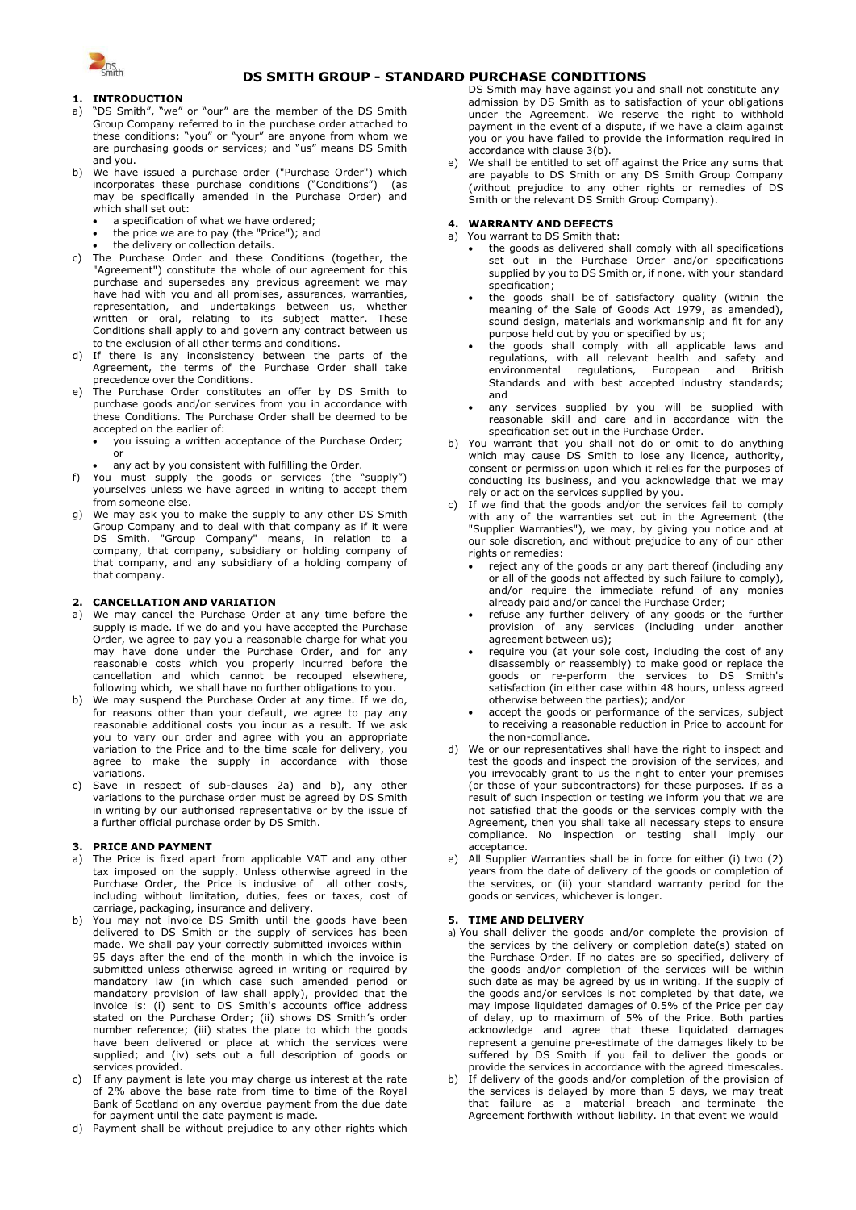

# **DS SMITH GROUP - STANDARD PURCHASE CONDITIONS**

# **1. INTRODUCTION**

- a) "DS Smith", "we" or "our" are the member of the DS Smith Group Company referred to in the purchase order attached to these conditions; "you" or "your" are anyone from whom we are purchasing goods or services; and "us" means DS Smith and you.
- We have issued a purchase order ("Purchase Order") which incorporates these purchase conditions ("Conditions") (as incorporates these purchase conditions ("Conditions") may be specifically amended in the Purchase Order) and which shall set out:
	- a specification of what we have ordered;
	- the price we are to pay (the "Price"); and
	- the delivery or collection details.
- c) The Purchase Order and these Conditions (together, the "Agreement") constitute the whole of our agreement for this purchase and supersedes any previous agreement we may have had with you and all promises, assurances, warranties, representation, and undertakings between us, whether written or oral, relating to its subject matter. These Conditions shall apply to and govern any contract between us to the exclusion of all other terms and conditions.
- d) If there is any inconsistency between the parts of the Agreement, the terms of the Purchase Order shall take precedence over the Conditions.
- e) The Purchase Order constitutes an offer by DS Smith to purchase goods and/or services from you in accordance with these Conditions. The Purchase Order shall be deemed to be accepted on the earlier of:
	- you issuing a written acceptance of the Purchase Order; or
	- any act by you consistent with fulfilling the Order.
- f) You must supply the goods or services (the "supply") yourselves unless we have agreed in writing to accept them from someone else.
- g) We may ask you to make the supply to any other DS Smith Group Company and to deal with that company as if it were DS Smith. "Group Company" means, in relation to a company, that company, subsidiary or holding company of that company, and any subsidiary of a holding company of that company.

## **2. CANCELLATION AND VARIATION**

- <span id="page-0-0"></span>a) We may cancel the Purchase Order at any time before the supply is made. If we do and you have accepted the Purchase Order, we agree to pay you a reasonable charge for what you may have done under the Purchase Order, and for any reasonable costs which you properly incurred before the cancellation and which cannot be recouped elsewhere, following which, we shall have no further obligations to you.
- <span id="page-0-1"></span>b) We may suspend the Purchase Order at any time. If we do, for reasons other than your default, we agree to pay any reasonable additional costs you incur as a result. If we ask you to vary our order and agree with you an appropriate variation to the Price and to the time scale for delivery, you agree to make the supply in accordance with those variations.
- c) Save in respect of sub-clauses [2a\)](#page-0-0) and [b\),](#page-0-1) any other variations to the purchase order must be agreed by DS Smith in writing by our authorised representative or by the issue of a further official purchase order by DS Smith.

## **3. PRICE AND PAYMENT**

- a) The Price is fixed apart from applicable VAT and any other tax imposed on the supply. Unless otherwise agreed in the Purchase Order, the Price is inclusive of all other costs, including without limitation, duties, fees or taxes, cost of carriage, packaging, insurance and delivery.
- b) You may not invoice DS Smith until the goods have been delivered to DS Smith or the supply of services has been made. We shall pay your correctly submitted invoices within 95 days after the end of the month in which the invoice is submitted unless otherwise agreed in writing or required by mandatory law (in which case such amended period or mandatory provision of law shall apply), provided that the invoice is: (i) sent to DS Smith's accounts office address stated on the Purchase Order; (ii) shows DS Smith's order number reference; (iii) states the place to which the goods have been delivered or place at which the services were supplied; and (iv) sets out a full description of goods or services provided.
- c) If any payment is late you may charge us interest at the rate of 2% above the base rate from time to time of the Royal Bank of Scotland on any overdue payment from the due date for payment until the date payment is made.
- d) Payment shall be without prejudice to any other rights which

DS Smith may have against you and shall not constitute any admission by DS Smith as to satisfaction of your obligations under the Agreement. We reserve the right to withhold payment in the event of a dispute, if we have a claim against you or you have failed to provide the information required in accordance with clause 3(b).

e) We shall be entitled to set off against the Price any sums that are payable to DS Smith or any DS Smith Group Company (without prejudice to any other rights or remedies of DS Smith or the relevant DS Smith Group Company).

### **4. WARRANTY AND DEFECTS**

- a) You warrant to DS Smith that: the goods as delivered shall comply with all specifications set out in the Purchase Order and/or specifications supplied by you to DS Smith or, if none, with your standard specification;
	- the goods shall be of satisfactory quality (within the meaning of the Sale of Goods Act 1979, as amended), sound design, materials and workmanship and fit for any purpose held out by you or specified by us;
	- the goods shall comply with all applicable laws and regulations, with all relevant health and safety and environmental regulations, European and British Standards and with best accepted industry standards; and
	- any services supplied by you will be supplied with reasonable skill and care and in accordance with the specification set out in the Purchase Order.
- b) You warrant that you shall not do or omit to do anything which may cause DS Smith to lose any licence, authority, consent or permission upon which it relies for the purposes of conducting its business, and you acknowledge that we may rely or act on the services supplied by you.
- If we find that the goods and/or the services fail to comply with any of the warranties set out in the Agreement (the "Supplier Warranties"), we may, by giving you notice and at our sole discretion, and without prejudice to any of our other rights or remedies:
	- reject any of the goods or any part thereof (including any or all of the goods not affected by such failure to comply), and/or require the immediate refund of any monies already paid and/or cancel the Purchase Order;
	- refuse any further delivery of any goods or the further provision of any services (including under another agreement between us);
	- require you (at your sole cost, including the cost of any disassembly or reassembly) to make good or replace the goods or re-perform the services to DS Smith's satisfaction (in either case within 48 hours, unless agreed otherwise between the parties); and/or
	- accept the goods or performance of the services, subject to receiving a reasonable reduction in Price to account for the non-compliance.
- d) We or our representatives shall have the right to inspect and test the goods and inspect the provision of the services, and you irrevocably grant to us the right to enter your premises (or those of your subcontractors) for these purposes. If as a result of such inspection or testing we inform you that we are not satisfied that the goods or the services comply with the Agreement, then you shall take all necessary steps to ensure compliance. No inspection or testing shall imply our acceptance.
- e) All Supplier Warranties shall be in force for either (i) two (2) years from the date of delivery of the goods or completion of the services, or (ii) your standard warranty period for the goods or services, whichever is longer.

## **5. TIME AND DELIVERY**

- a) You shall deliver the goods and/or complete the provision of the services by the delivery or completion date(s) stated on the Purchase Order. If no dates are so specified, delivery of the goods and/or completion of the services will be within such date as may be agreed by us in writing. If the supply of the goods and/or services is not completed by that date, we may impose liquidated damages of 0.5% of the Price per day of delay, up to maximum of 5% of the Price. Both parties acknowledge and agree that these liquidated damages represent a genuine pre-estimate of the damages likely to be suffered by DS Smith if you fail to deliver the goods or provide the services in accordance with the agreed timescales.
- If delivery of the goods and/or completion of the provision of the services is delayed by more than 5 days, we may treat that failure as a material breach and terminate the Agreement forthwith without liability. In that event we would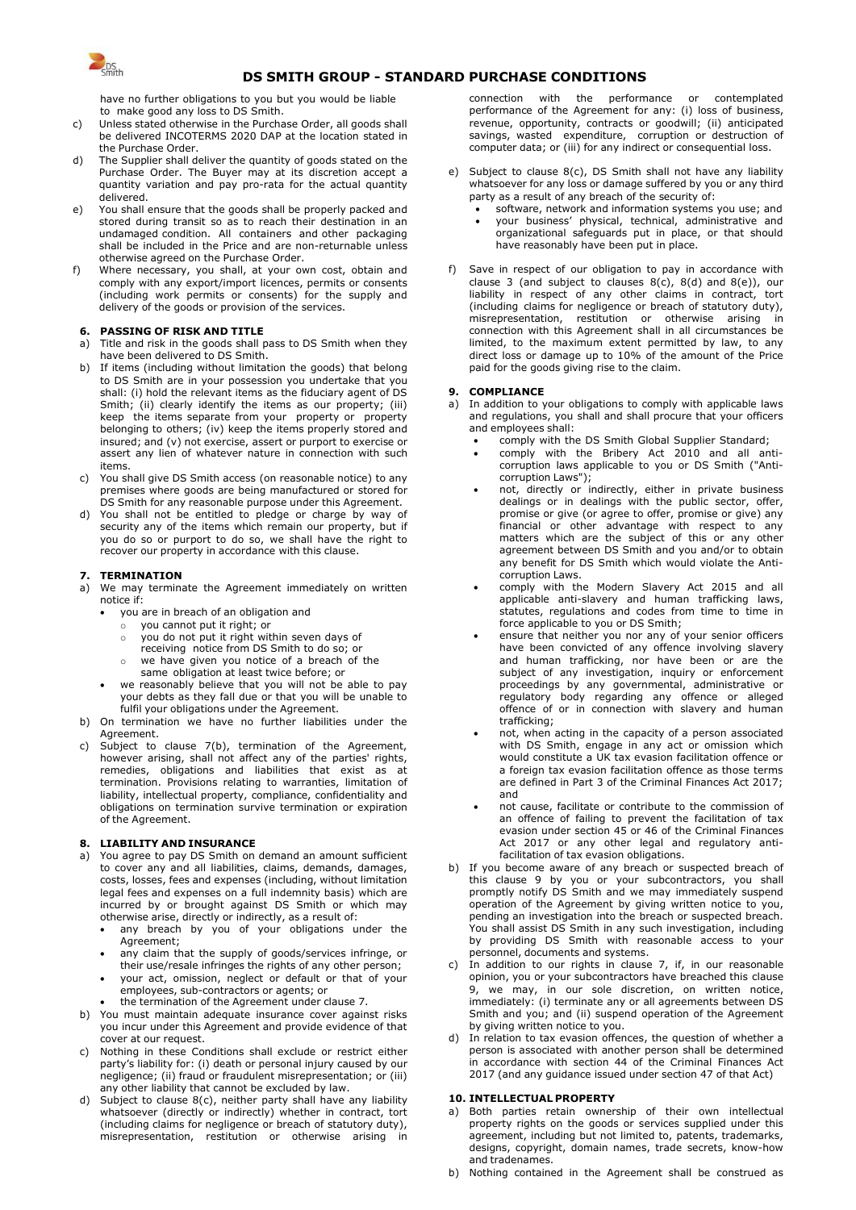

# **DS SMITH GROUP - STANDARD PURCHASE CONDITIONS**

have no further obligations to you but you would be liable to make good any loss to DS Smith.

- c) Unless stated otherwise in the Purchase Order, all goods shall be delivered INCOTERMS 2020 DAP at the location stated in the Purchase Order.
- d) The Supplier shall deliver the quantity of goods stated on the Purchase Order. The Buyer may at its discretion accept a quantity variation and pay pro-rata for the actual quantity delivered.
- e) You shall ensure that the goods shall be properly packed and stored during transit so as to reach their destination in an undamaged condition. All containers and other packaging shall be included in the Price and are non-returnable unless otherwise agreed on the Purchase Order.
- f) Where necessary, you shall, at your own cost, obtain and comply with any export/import licences, permits or consents (including work permits or consents) for the supply and delivery of the goods or provision of the services.

### **6. PASSING OF RISK AND TITLE**

- a) Title and risk in the goods shall pass to DS Smith when they have been delivered to DS Smith.
- b) If items (including without limitation the goods) that belong to DS Smith are in your possession you undertake that you shall: (i) hold the relevant items as the fiduciary agent of DS Smith; (ii) clearly identify the items as our property; (iii) keep the items separate from your property or property belonging to others; (iv) keep the items properly stored and insured; and (v) not exercise, assert or purport to exercise or assert any lien of whatever nature in connection with such items.
- c) You shall give DS Smith access (on reasonable notice) to any premises where goods are being manufactured or stored for DS Smith for any reasonable purpose under this Agreement.
- d) You shall not be entitled to pledge or charge by way of security any of the items which remain our property, but if you do so or purport to do so, we shall have the right to recover our property in accordance with this clause.

# **7. TERMINATION**

- We may terminate the Agreement immediately on written notice if:
	- you are in breach of an obligation and
		- $\circ$  you cannot put it right; or
		- o you do not put it right within seven days of
		- receiving notice from DS Smith to do so; or
		- we have given you notice of a breach of the same obligation at least twice before; or
	- we reasonably believe that you will not be able to pay your debts as they fall due or that you will be unable to fulfil your obligations under the Agreement.
- b) On termination we have no further liabilities under the Agreement.
- c) Subject to clause 7(b), termination of the Agreement, however arising, shall not affect any of the parties' rights, remedies, obligations and liabilities that exist as at termination. Provisions relating to warranties, limitation of liability, intellectual property, compliance, confidentiality and obligations on termination survive termination or expiration of the Agreement.

# **8. LIABILITY AND INSURANCE**

- a) You agree to pay DS Smith on demand an amount sufficient to cover any and all liabilities, claims, demands, damages, costs, losses, fees and expenses (including, without limitation legal fees and expenses on a full indemnity basis) which are incurred by or brought against DS Smith or which may otherwise arise, directly or indirectly, as a result of:
	- any breach by you of your obligations under the Agreement;
	- any claim that the supply of goods/services infringe, or their use/resale infringes the rights of any other person;
	- your act, omission, neglect or default or that of your employees, sub-contractors or agents; or
	- the termination of the Agreement under clause 7.
- b) You must maintain adequate insurance cover against risks you incur under this Agreement and provide evidence of that cover at our request.
- c) Nothing in these Conditions shall exclude or restrict either party's liability for: (i) death or personal injury caused by our negligence; (ii) fraud or fraudulent misrepresentation; or (iii) any other liability that cannot be excluded by law.
- d) Subject to clause 8(c), neither party shall have any liability whatsoever (directly or indirectly) whether in contract, tort (including claims for negligence or breach of statutory duty), misrepresentation, restitution or otherwise arising in

connection with the performance or contemplated performance of the Agreement for any: (i) loss of business, revenue, opportunity, contracts or goodwill; (ii) anticipated savings, wasted expenditure, corruption or destruction of computer data; or (iii) for any indirect or consequential loss.

- e) Subject to clause 8(c), DS Smith shall not have any liability whatsoever for any loss or damage suffered by you or any third party as a result of any breach of the security of:
	- software, network and information systems you use; and • your business' physical, technical, administrative and organizational safeguards put in place, or that should have reasonably have been put in place.
- Save in respect of our obligation to pay in accordance with clause 3 (and subject to clauses  $8(c)$ ,  $8(d)$  and  $8(e)$ ), our liability in respect of any other claims in contract, tort (including claims for negligence or breach of statutory duty), misrepresentation, restitution or otherwise arising in connection with this Agreement shall in all circumstances be limited, to the maximum extent permitted by law, to any direct loss or damage up to 10% of the amount of the Price paid for the goods giving rise to the claim.

### **9. COMPLIANCE**

- a) In addition to your obligations to comply with applicable laws and regulations, you shall and shall procure that your officers and employees shall:
	- comply with the DS Smith Global Supplier Standard;
	- comply with the Bribery Act 2010 and all anticorruption laws applicable to you or DS Smith ("Anticorruption Laws");
	- not, directly or indirectly, either in private business dealings or in dealings with the public sector, offer, promise or give (or agree to offer, promise or give) any financial or other advantage with respect to any matters which are the subject of this or any other agreement between DS Smith and you and/or to obtain any benefit for DS Smith which would violate the Anticorruption Laws.
	- comply with the Modern Slavery Act 2015 and all applicable anti-slavery and human trafficking laws, statutes, regulations and codes from time to time in force applicable to you or DS Smith;
	- ensure that neither you nor any of your senior officers have been convicted of any offence involving slavery and human trafficking, nor have been or are the subject of any investigation, inquiry or enforcement proceedings by any governmental, administrative or regulatory body regarding any offence or alleged offence of or in connection with slavery and human trafficking;
	- not, when acting in the capacity of a person associated with DS Smith, engage in any act or omission which would constitute a UK tax evasion facilitation offence or a foreign tax evasion facilitation offence as those terms are defined in Part 3 of the Criminal Finances Act 2017; and
	- not cause, facilitate or contribute to the commission of an offence of failing to prevent the facilitation of tax evasion under section 45 or 46 of the Criminal Finances Act 2017 or any other legal and regulatory antifacilitation of tax evasion obligations.
- b) If you become aware of any breach or suspected breach of this clause 9 by you or your subcontractors, you shall promptly notify DS Smith and we may immediately suspend operation of the Agreement by giving written notice to you, pending an investigation into the breach or suspected breach. You shall assist DS Smith in any such investigation, including by providing DS Smith with reasonable access to your personnel, documents and systems.
- In addition to our rights in clause 7, if, in our reasonable opinion, you or your subcontractors have breached this clause 9, we may, in our sole discretion, on written notice, immediately: (i) terminate any or all agreements between DS Smith and you; and (ii) suspend operation of the Agreement by giving written notice to you.
- d) In relation to tax evasion offences, the question of whether a person is associated with another person shall be determined in accordance with section 44 of the Criminal Finances Act 2017 (and any guidance issued under section 47 of that Act)

# **10. INTELLECTUAL PROPERTY**

- a) Both parties retain ownership of their own intellectual property rights on the goods or services supplied under this agreement, including but not limited to, patents, trademarks, designs, copyright, domain names, trade secrets, know-how and tradenames.
- b) Nothing contained in the Agreement shall be construed as